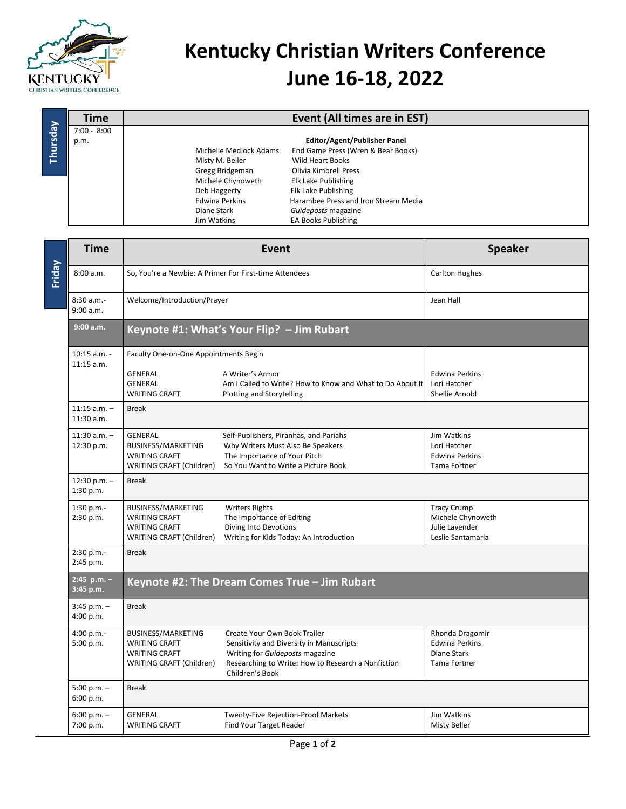

## **Kentucky Christian Writers Conference June 16-18, 2022**

|          | Time          |                        | Event (All times are in EST)         |  |
|----------|---------------|------------------------|--------------------------------------|--|
| Thursday | $7:00 - 8:00$ |                        |                                      |  |
|          | p.m.          |                        | <b>Editor/Agent/Publisher Panel</b>  |  |
|          |               | Michelle Medlock Adams | End Game Press (Wren & Bear Books)   |  |
|          |               | Misty M. Beller        | <b>Wild Heart Books</b>              |  |
|          |               | Gregg Bridgeman        | Olivia Kimbrell Press                |  |
|          |               | Michele Chynoweth      | Elk Lake Publishing                  |  |
|          |               | Deb Haggerty           | Elk Lake Publishing                  |  |
|          |               | <b>Edwina Perkins</b>  | Harambee Press and Iron Stream Media |  |
|          |               | Diane Stark            | Guideposts magazine                  |  |
|          |               | Jim Watkins            | <b>EA Books Publishing</b>           |  |

| Friday | <b>Time</b>                    | Event                                                                                          |                                                                                                                                                                                      | <b>Speaker</b>                                                                 |  |  |
|--------|--------------------------------|------------------------------------------------------------------------------------------------|--------------------------------------------------------------------------------------------------------------------------------------------------------------------------------------|--------------------------------------------------------------------------------|--|--|
|        | 8:00 a.m.                      | So, You're a Newbie: A Primer For First-time Attendees                                         |                                                                                                                                                                                      | <b>Carlton Hughes</b>                                                          |  |  |
|        | 8:30 a.m.-<br>9:00 a.m.        | Welcome/Introduction/Prayer                                                                    |                                                                                                                                                                                      | Jean Hall                                                                      |  |  |
|        | 9:00 a.m.                      | Keynote #1: What's Your Flip? - Jim Rubart                                                     |                                                                                                                                                                                      |                                                                                |  |  |
|        | $10:15$ a.m. -<br>$11:15$ a.m. | Faculty One-on-One Appointments Begin                                                          |                                                                                                                                                                                      |                                                                                |  |  |
|        |                                | <b>GENERAL</b><br><b>GENERAL</b><br><b>WRITING CRAFT</b>                                       | A Writer's Armor<br>Am I Called to Write? How to Know and What to Do About It<br>Plotting and Storytelling                                                                           | <b>Edwina Perkins</b><br>Lori Hatcher<br>Shellie Arnold                        |  |  |
|        | $11:15$ a.m. -<br>$11:30$ a.m. | <b>Break</b>                                                                                   |                                                                                                                                                                                      |                                                                                |  |  |
|        | $11:30$ a.m. -<br>12:30 p.m.   | <b>GENERAL</b><br>BUSINESS/MARKETING<br><b>WRITING CRAFT</b><br>WRITING CRAFT (Children)       | Self-Publishers, Piranhas, and Pariahs<br>Why Writers Must Also Be Speakers<br>The Importance of Your Pitch<br>So You Want to Write a Picture Book                                   | Jim Watkins<br>Lori Hatcher<br><b>Edwina Perkins</b><br><b>Tama Fortner</b>    |  |  |
|        | $12:30 p.m. -$<br>1:30 p.m.    | <b>Break</b>                                                                                   |                                                                                                                                                                                      |                                                                                |  |  |
|        | 1:30 p.m.-<br>2:30 p.m.        | BUSINESS/MARKETING<br><b>WRITING CRAFT</b><br><b>WRITING CRAFT</b><br>WRITING CRAFT (Children) | <b>Writers Rights</b><br>The Importance of Editing<br>Diving Into Devotions<br>Writing for Kids Today: An Introduction                                                               | <b>Tracy Crump</b><br>Michele Chynoweth<br>Julie Lavender<br>Leslie Santamaria |  |  |
|        | 2:30 p.m.-<br>2:45 p.m.        | <b>Break</b>                                                                                   |                                                                                                                                                                                      |                                                                                |  |  |
|        | $2:45$ p.m. -<br>3:45 p.m.     | Keynote #2: The Dream Comes True - Jim Rubart                                                  |                                                                                                                                                                                      |                                                                                |  |  |
|        | $3:45$ p.m. $-$<br>4:00 p.m.   | <b>Break</b>                                                                                   |                                                                                                                                                                                      |                                                                                |  |  |
|        | 4:00 p.m.-<br>5:00 p.m.        | BUSINESS/MARKETING<br><b>WRITING CRAFT</b><br><b>WRITING CRAFT</b><br>WRITING CRAFT (Children) | Create Your Own Book Trailer<br>Sensitivity and Diversity in Manuscripts<br>Writing for Guideposts magazine<br>Researching to Write: How to Research a Nonfiction<br>Children's Book | Rhonda Dragomir<br><b>Edwina Perkins</b><br>Diane Stark<br>Tama Fortner        |  |  |
|        | $5:00 p.m. -$<br>6:00 p.m.     | <b>Break</b>                                                                                   |                                                                                                                                                                                      |                                                                                |  |  |
|        | $6:00 p.m. -$<br>7:00 p.m.     | <b>GENERAL</b><br><b>WRITING CRAFT</b>                                                         | <b>Twenty-Five Rejection-Proof Markets</b><br>Find Your Target Reader                                                                                                                | Jim Watkins<br><b>Misty Beller</b>                                             |  |  |